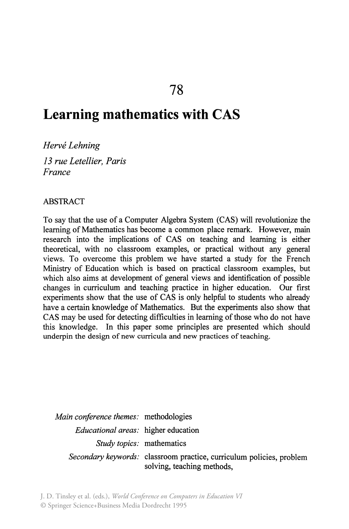# **Learning mathematics with CAS**

*Herve Lehning 13 rue Letellier, Paris* 

*France* 

## ABSTRACT

To say that the use of a Computer Algebra System (CAS) will revolutionize the learning of Mathematics has become a common place remark. However, main research into the implications of CAS on teaching and learning is either theoretical, with no classroom examples, or practical without any general views. To overcome this problem we have started a study for the French Ministry of Education which is based on practical classroom examples, but which also aims at development of general views and identification of possible changes in curriculum and teaching practice in higher education. Our first experiments show that the use of CAS is only helpful to students who already have a certain knowledge of Mathematics. But the experiments also show that CAS may be used for detecting difficulties in learning of those who do not have this knowledge. In this paper some principles are presented which should underpin the design of new curricula and new practices of teaching.

*Main conference themes:* methodologies *Educational areas:* higher education *Study topics:* mathematics *Secondary keywords:* classroom practice, curriculum policies, problem solving, teaching methods,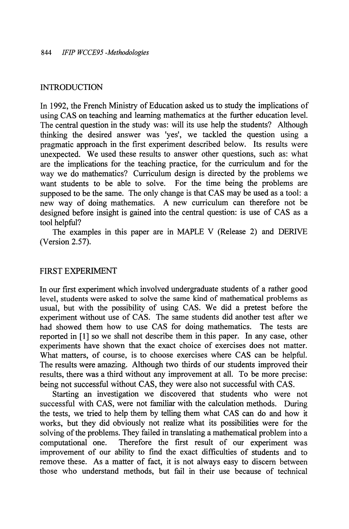#### **INTRODUCTION**

In 1992, the French Ministry of Education asked us to study the implications of using CAS on teaching and learning mathematics at the further education level. The central question in the study was: will its use help the students? Although thinking the desired answer was 'yes', we tackled the question using a pragmatic approach in the first experiment described below. Its results were unexpected. We used these results to answer other questions, such as: what are the implications for the teaching practice, for the curriculum and for the way we do mathematics? Curriculum design is directed by the problems we want students to be able to solve. For the time being the problems are supposed to be the same. The only change is that CAS may be used as a tool: a new way of doing mathematics. A new curriculum can therefore not be designed before insight is gained into the central question: is use of CAS as <sup>a</sup> tool helpful?

The examples in this paper are in MAPLE V (Release 2) and DERIVE (Version 2.57).

## FIRST EXPERIMENT

In our first experiment which involved undergraduate students of a rather good level, students were asked to solve the same kind of mathematical problems as usual, but with the possibility of using CAS. We did a pretest before the experiment without use of CAS. The same students did another test after we had showed them how to use CAS for doing mathematics. The tests are reported in [1] so we shall not describe them in this paper. In any case, other experiments have shown that the exact choice of exercises does not matter. What matters, of course, is to choose exercises where CAS can be helpful. The results were amazing. Although two thirds of our students improved their results, there was a third without any improvement at all. To be more precise: being not successful without CAS, they were also not successful with CAS.

Starting an investigation we discovered that students who were not successful with CAS, were not familiar with the calculation methods. During the tests, we tried to help them by telling them what CAS can do and how it works, but they did obviously not realize what its possibilities were for the solving of the problems. They failed in translating a mathematical problem into a computational one. Therefore the first result of our experiment was improvement of our ability to find the exact difficulties of students and to remove these. As a matter of fact, it is not always easy to discern between those who understand methods, but fail in their use because of technical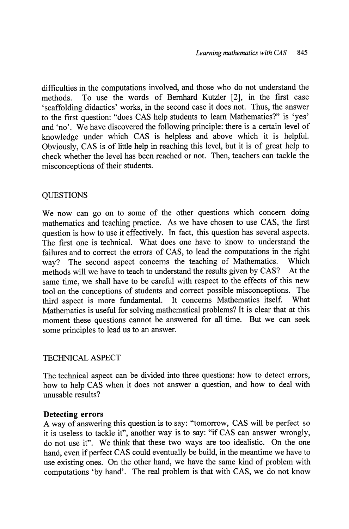difficulties in the computations involved, and those who do not understand the methods. To use the words of Bernhard Kutzler [2], in the first case 'scaffolding didactics' works, in the second case it does not. Thus, the answer to the first question: "does CAS help students to learn Mathematics?" is 'yes' and 'no'. We have discovered the following principle: there is a certain level of knowledge under which CAS is helpless and above which it is helpful. Obviously, CAS is of little help in reaching this level, but it is of great help to check whether the level has been reached or not. Then, teachers can tackle the misconceptions of their students.

## QUESTIONS

We now can go on to some of the other questions which concern doing mathematics and teaching practice. As we have chosen to use CAS, the first question is how to use it effectively. In fact, this question has several aspects. The first one is technical. What does one have to know to understand the failures and to correct the errors of CAS, to lead the computations in the right way? The second aspect concerns the teaching of Mathematics. Which methods will we have to teach to understand the results given by CAS? At the methods will we have to teach to understand the results given by CAS? same time, we shall have to be careful with respect to the effects of this new tool on the conceptions of students and correct possible misconceptions. The third aspect is more fundamental. It concerns Mathematics itself. What third aspect is more fundamental. Mathematics is useful for solving mathematical problems? It is clear that at this moment these questions cannot be answered for all time. But we can seek some principles to lead us to an answer.

## TECHNICAL ASPECT

The technical aspect can be divided into three questions: how to detect errors, how to help CAS when it does not answer a question, and how to deal with unusable results?

## **Detecting errors**

A way of answering this question is to say: "tomorrow, CAS will be perfect so it is useless to tackle it", another way is to say: "if CAS can answer wrongly, do not use it". We think that these two ways are too idealistic. On the one hand, even if perfect CAS could eventually be build, in the meantime we have to use existing ones. On the other hand, we have the same kind of problem with computations 'by hand'. The real problem is that with CAS, we do not know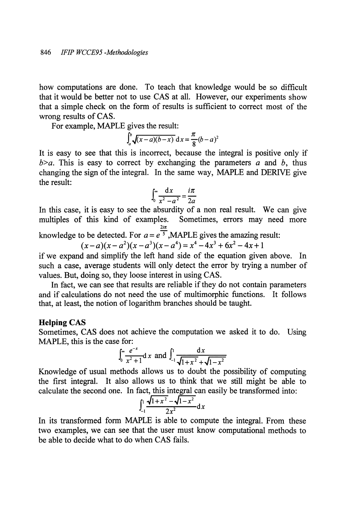how computations are done. To teach that knowledge would be so difficult that it would be better not to use CAS at all. However, our experiments show that a simple check on the form of results is sufficient to correct most of the wrong results of CAS.

For example, MAPLE gives the result:

$$
\int_a^b \sqrt{(x-a)(b-x)} dx = \frac{\pi}{8}(b-a)^2
$$

It is easy to see that this is incorrect, because the integral is positive only if  $b>a$ . This is easy to correct by exchanging the parameters *a* and *b*, thus changing the sign of the integral. In the same way, MAPLE and DERIVE give the result:

$$
\int_0^\infty \frac{\mathrm{d}x}{x^2 - a^2} = \frac{i\pi}{2a}
$$

In this case, it is easy to see the absurdity of a non real result. We can give multiples of this kind of examples. Sometimes, errors may need more

knowledge to be detected. For  $a = e^{\frac{2i\pi}{5}}$ , MAPLE gives the amazing result:

$$
(x-a)(x-a2)(x-a3)(x-a4) = x4 - 4x3 + 6x2 - 4x + 1
$$

if we expand and simplify the left hand side of the equation given above. In such a case, average students will only detect the error by trying a number of values. But, doing so, they loose interest in using CAS.

In fact, we can see that results are reliable if they do not contain parameters and if calculations do not need the use of multimorphic functions. It follows that, at least, the notion of logarithm branches should be taught.

#### **Helping CAS**

Sometimes, CAS does not achieve the computation we asked it to do. Using MAPLE, this is the case for:

$$
\int_0^\infty \frac{e^{-x}}{x^2 + 1} dx
$$
 and 
$$
\int_{-1}^1 \frac{dx}{\sqrt{1 + x^2} + \sqrt{1 - x^2}}
$$

Knowledge of usual methods allows us to doubt the possibility of computing the first integral. It also allows us to think that we still might be able to calculate the second one. In fact, this integral can easily be transformed into:<br> $\int_{-1}^{1} \frac{\sqrt{1+x^2} - \sqrt{1-x^2}}{2x^2} dx$ 

$$
\int_{-1}^{1} \frac{\sqrt{1+x^2} - \sqrt{1-x^2}}{2x^2} dx
$$

In its transformed form MAPLE is able to compute the integral. From these two examples, we can see that the user must know computational methods to be able to decide what to do when CAS fails.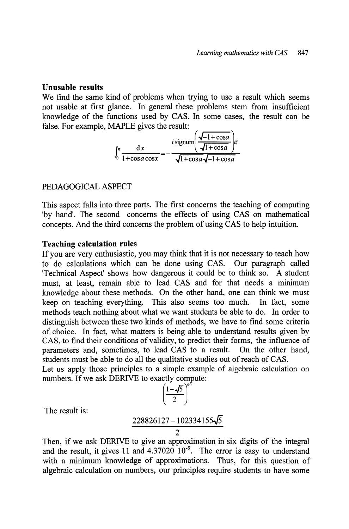#### **Unusable results**

We find the same kind of problems when trying to use a result which seems not usable at first glance. In general these problems stem from insufficient knowledge of the functions used by CAS. In some cases, the result can be false. For example, MAPLE gives the result:

$$
\int_0^{\pi} \frac{\mathrm{d}x}{1 + \cos a \cos x} = -\frac{i \operatorname{signum}\left(\frac{\sqrt{-1 + \cos a}}{\sqrt{1 + \cos a}}\right)\pi}{\sqrt{1 + \cos a \sqrt{-1 + \cos a}}}
$$

## PEDAGOGICAL ASPECT

This aspect falls into three parts. The first concerns the teaching of computing 'by hand'. The second concerns the effects of using CAS on mathematical concepts. And the third concerns the problem of using CAS to help intuition.

#### **Teaching calculation rules**

If you are very enthusiastic, you may think that it is not necessary to teach how to do calculations which can be done using CAS. Our paragraph called 'Technical Aspect' shows how dangerous it could be to think so. A student must, at least, remain able to lead CAS and for that needs a minimum knowledge about these methods. On the other hand, one can think we must keep on teaching everything. This also seems too much. In fact, some methods teach nothing about what we want students be able to do. In order to distinguish between these two kinds of methods, we have to find some criteria of choice. In fact, what matters is being able to understand results given by CAS, to find their conditions of validity, to predict their forms, the influence of parameters and, sometimes, to lead CAS to a result. On the other hand, students must be able to do all the qualitative studies out of reach of CAS.

Let us apply those principles to a simple example of algebraic calculation on numbers. If we ask DERIVE to exactly compute:

$$
\left(\frac{1-\sqrt{5}}{2}\right)^{40}
$$

The result is:

$$
\frac{228826127 - 102334155\sqrt{5}}{2}
$$

Then, if we ask DERIVE to give an approximation in six digits of the integral and the result, it gives  $11$  and  $4.37020\,10^{-9}$ . The error is easy to understand with a minimum knowledge of approximations. Thus, for this question of algebraic calculation on numbers, our principles require students to have some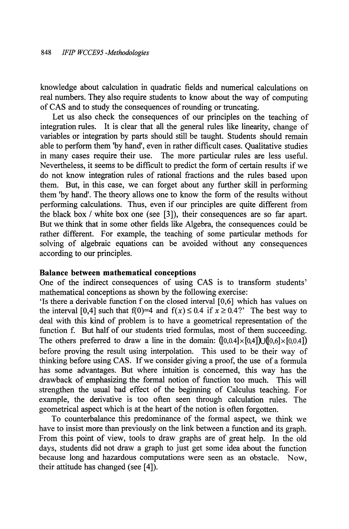knowledge about calculation in quadratic fields and numerical calculations on real numbers. They also require students to know about the way of computing of CAS and to study the consequences of rounding or truncating.

Let us also check the consequences of our principles on the teaching of integration rules. It is clear that all the general rules like linearity, change of variables or integration by parts should still be taught. Students should remain able to perform them 'by hand', even in rather difficult cases. Qualitative studies in many cases require their use. The more particular rules are less useful. Nevertheless, it seems to be difficult to predict the form of certain results if we do not know integration rules of rational fractions and the rules based upon them. But, in this case, we can forget about any further skill in performing them 'by hand'. The theory allows one to know the form of the results without performing calculations. Thus, even if our principles are quite different from the black box *I* white box one (see [3 ]), their consequences are so far apart. But we think that in some other fields like Algebra, the consequences could be rather different. For example, the teaching of some particular methods for solving of algebraic equations can be avoided without any consequences according to our principles.

#### **Balance between mathematical conceptions**

One of the indirect consequences of using CAS is to transform students' mathematical conceptions as shown by the following exercise:

'Is there a derivable function f on the closed interval [0,6] which has values on the interval [0,4] such that  $f(0)=4$  and  $f(x) \le 0.4$  if  $x \ge 0.4$ ?' The best way to deal with this kind of problem is to have a geometrical representation of the function f. But half of our students tried formulas, most of them succeeding. The others preferred to draw a line in the domain:  $([0,0.4] \times [0,4]) \times [0,0.4]$ before proving the result using interpolation. This used to be their way of thinking before using CAS. If we consider giving a proof, the use of a formula has some advantages. But where intuition is concerned, this way has the drawback of emphasizing the formal notion of function too much. This will strengthen the usual bad effect of the beginning of Calculus teaching. For example, the derivative is too often seen through calculation rules. The geometrical aspect which is at the heart of the notion is often forgotten.

To counterbalance this predominance of the formal aspect, we think we have to insist more than previously on the link between a function and its graph. From this point of view, tools to draw graphs are of great help. In the old days, students did not draw a graph to just get some idea about the function because long and hazardous computations were seen as an obstacle. Now, their attitude has changed (see [4]).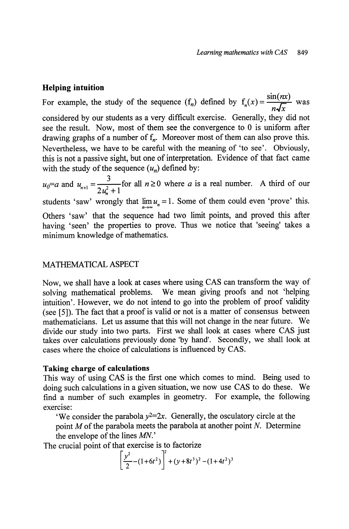### **Helping intuition**

For example, the study of the sequence  $(f_n)$  defined by  $f_n(x) = \frac{\sin(nx)}{n\sqrt{x}}$  was considered by our students as a very difficult exercise. Generally, they did not see the result. Now, most of them see the convergence to 0 is uniform after drawing graphs of a number of  $f_n$ . Moreover most of them can also prove this. Nevertheless, we have to be careful with the meaning of 'to see'. Obviously, this is not a passive sight, but one of interpretation. Evidence of that fact came with the study of the sequence  $(u_n)$  defined by:

 $u_0=a$  and  $u_{n+1} = \frac{3}{2u_n^2+1}$  for all  $n \ge 0$  where *a* is a real number. A third of our students 'saw' wrongly that  $\lim_{n \to \infty} u_n = 1$ . Some of them could even 'prove' this. Others 'saw' that the sequence had two limit points, and proved this after having 'seen' the properties to prove. Thus we notice that 'seeing' takes a minimum knowledge of mathematics.

## MATHEMATICAL ASPECT

Now, we shall have a look at cases where using CAS can transform the way of solving mathematical problems. We mean giving proofs and not 'helping intuition'. However, we do not intend to go into the problem of proof validity (see [5]). The fact that a proof is valid or not is a matter of consensus between mathematicians. Let us assume that this will not change in the near future. We divide our study into two parts. First we shall look at cases where CAS just takes over calculations previously done 'by hand'. Secondly, we shall look at cases where the choice of calculations is influenced by CAS.

#### **Taking charge of calculations**

This way of using CAS is the first one which comes to mind. Being used to doing such calculations in a given situation, we now use CAS to do these. We find a number of such examples in geometry. For example, the following exercise:

'We consider the parabola  $y^2=2x$ . Generally, the osculatory circle at the point *M* of the parabola meets the parabola at another point *N.* Determine the envelope of the lines *MN.'* 

The crucial point of that exercise is to factorize

$$
\left[\frac{y^2}{2} - (1+6t^2)\right]^2 + (y+8t^3)^2 - (1+4t^2)^3
$$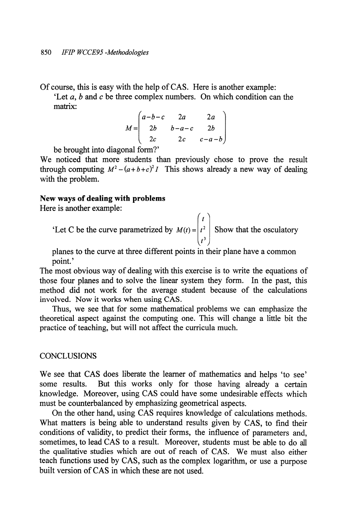Of course, this is easy with the help of CAS. Here is another example:

Let  $a, b$  and  $c$  be three complex numbers. On which condition can the matrix:  $a-b-c$  2a 2a<br>  $2b$   $b-a-c$  2b 2b

$$
M = \begin{pmatrix} a-b-c & 2a & 2a \\ 2b & b-a-c & 2b \\ 2c & 2c & c-a-b \end{pmatrix}
$$

be brought into diagonal form?'

We noticed that more students than previously chose to prove the result through computing  $M^2 - (a+b+c)^2 I$  This shows already a new way of dealing with the problem.

#### New ways **of dealing with problems**

Here is another example:

'Let C be the curve parametrized by  $M(t) = \begin{pmatrix} t \\ t^2 \\ t^3 \end{pmatrix}$  Show that the osculatory

planes to the curve at three different points in their plane have a common point.'

The most obvious way of dealing with this exercise is to write the equations of those four planes and to solve the linear system they form. In the past, this method did not work for the average student because of the calculations involved. Now it works when using CAS.

Thus, we see that for some mathematical problems we can emphasize the theoretical aspect against the computing one. This will change a little bit the practice of teaching, but will not affect the curricula much.

## **CONCLUSIONS**

We see that CAS does liberate the learner of mathematics and helps 'to see' some results. But this works only for those having already a certain knowledge. Moreover, using CAS could have some undesirable effects which must be counterbalanced by emphasizing geometrical aspects.

On the other hand, using CAS requires knowledge of calculations methods. What matters is being able to understand results given by CAS, to find their conditions of validity, to predict their forms, the influence of parameters and, sometimes, to lead CAS to a result. Moreover, students must be able to do all the qualitative studies which are out of reach of CAS. We must also either teach functions used by CAS, such as the complex logarithm, or use a purpose built version of CAS in which these are not used.